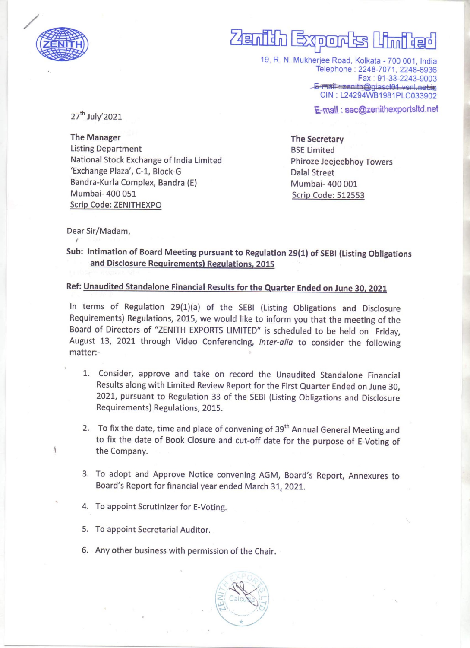

## anthn Eqponts Minted

19, R. N. Mukherjee Road, Kolkata - 700 001, India Telephone : 2248-7071, 2248-6936 Fax: 91-33-2243-9003<br><del>E-mail: zenith@giascl01.vsnl.net.in</del> CIN: L24294WB1981PLC033902

E-mail : sec@zenithexportsltd.net 27" July'2021

The Manager The Secretary Listing Department **BSE** Limited National Stock Exchange of India Limited Phiroze Jeejeebhoy Towers 'Exchange Plaza', C-1, Block-G<br>
Dalal Street Bandra-Kurla Complex, Bandra (E) Mumbai- 400 001 Mumbai- 400 051 Scrip Code: 512553 Scrip Code: ZENITHEXPO

Dear Sir/Madam,

Sub: Intimation of Board Meeting pursuant to Regulation 29(1) of SEBI (Listing Obligations and Disclosure Requirements) Regulations, 2015

## Ref: Unaudited Standalone Financial Results for the Quarter Ended on June 30, 2021

In terms of Regulation 29(1)(a) of the SEBI (Listing Obligations and Disclosure Requirements) Regulations, 2015, we would like to inform you that the meeting of the Board of Directors of "ZENITH EXPORTS LIMITED" is scheduled to be held on Friday, August 13, 2021 through Video Conferencing, inter-alia to consider the following matter:- **Example 19**<br>
(2.2 m)<br>
(19. R. N. Mulce of the Manager<br>
22<sup>P</sup> July 2021<br>
The Manager<br>
Listing Department<br>
Units of the Security Control of the Security of the Security Control of the Security Control of the Security Contr

- 1. Consider, approve and take on record the Unaudited Standalone Financial Results along with Limited Review Report for the First Quarter Ended on June 30, 2021, pursuant to Regulation 33 of the SEBI (Listing Obligations and Disclosure Requirements) Regulations, 2015.
- 2. To fix the date, time and place of convening of 39<sup>th</sup> Annual General Meeting and to fix the date of Book Closure and cut-off date for the purpose of E-Voting of \ the Company.
- 3. To adopt and Approve Notice convening AGM, Board's Report, Annexures to Board's Report for financial year ended March 31, 2021.
- 4. To appoint Scrutinizer for E-Voting.
- 5. To appoint Secretarial Auditor.

 $\overline{a}$ 

6. Any other business with permission of the Chair.